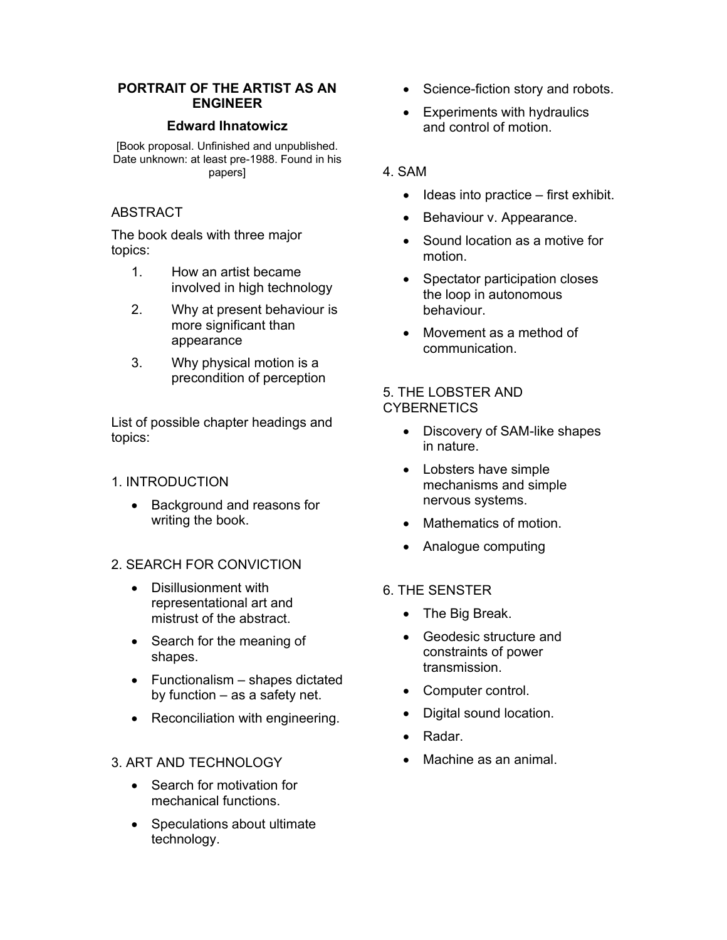#### **PORTRAIT OF THE ARTIST AS AN ENGINEER**

#### **Edward Ihnatowicz**

[Book proposal. Unfinished and unpublished. Date unknown: at least pre-1988. Found in his papers]

## ABSTRACT

The book deals with three major topics:

- 1. How an artist became involved in high technology
- 2. Why at present behaviour is more significant than appearance
- 3. Why physical motion is a precondition of perception

List of possible chapter headings and topics:

## 1. INTRODUCTION

• Background and reasons for writing the book.

## 2. SEARCH FOR CONVICTION

- Disillusionment with representational art and mistrust of the abstract.
- Search for the meaning of shapes.
- Functionalism shapes dictated by function – as a safety net.
- Reconciliation with engineering.

## 3. ART AND TECHNOLOGY

- Search for motivation for mechanical functions.
- Speculations about ultimate technology.
- Science-fiction story and robots.
- **Experiments with hydraulics** and control of motion.

## 4. SAM

- Ideas into practice first exhibit.
- Behaviour v. Appearance.
- Sound location as a motive for motion.
- Spectator participation closes the loop in autonomous behaviour.
- Movement as a method of communication.

#### 5. THE LOBSTER AND **CYBERNETICS**

- Discovery of SAM-like shapes in nature.
- Lobsters have simple mechanisms and simple nervous systems.
- Mathematics of motion.
- Analogue computing
- 6. THE SENSTER
	- The Big Break.
	- Geodesic structure and constraints of power transmission.
	- Computer control.
	- Digital sound location.
	- Radar.
	- Machine as an animal.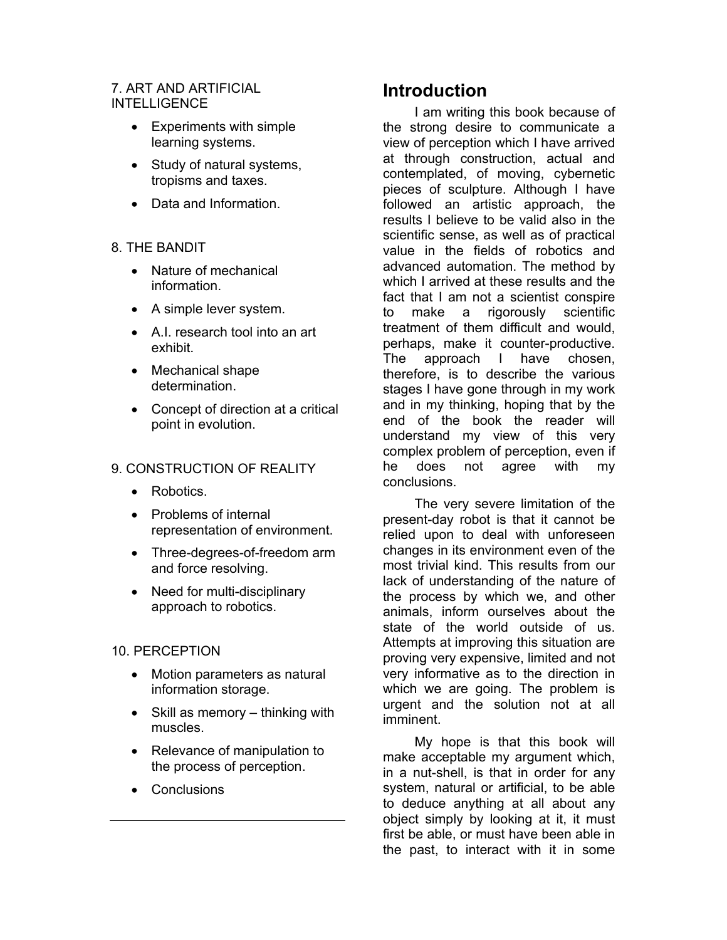## 7. ART AND ARTIFICIAL **INTELLIGENCE**

- Experiments with simple learning systems.
- Study of natural systems, tropisms and taxes.
- Data and Information.

## 8. THE BANDIT

- Nature of mechanical information.
- A simple lever system.
- A.I. research tool into an art exhibit.
- Mechanical shape determination.
- Concept of direction at a critical point in evolution.

## 9. CONSTRUCTION OF REALITY

- Robotics.
- Problems of internal representation of environment.
- Three-degrees-of-freedom arm and force resolving.
- Need for multi-disciplinary approach to robotics.
- 10. PERCEPTION
	- Motion parameters as natural information storage.
	- Skill as memory thinking with muscles.
	- Relevance of manipulation to the process of perception.
	- Conclusions

# **Introduction**

I am writing this book because of the strong desire to communicate a view of perception which I have arrived at through construction, actual and contemplated, of moving, cybernetic pieces of sculpture. Although I have followed an artistic approach, the results I believe to be valid also in the scientific sense, as well as of practical value in the fields of robotics and advanced automation. The method by which I arrived at these results and the fact that I am not a scientist conspire to make a rigorously scientific treatment of them difficult and would, perhaps, make it counter-productive. The approach I have chosen, therefore, is to describe the various stages I have gone through in my work and in my thinking, hoping that by the end of the book the reader will understand my view of this very complex problem of perception, even if he does not agree with my conclusions.

The very severe limitation of the present-day robot is that it cannot be relied upon to deal with unforeseen changes in its environment even of the most trivial kind. This results from our lack of understanding of the nature of the process by which we, and other animals, inform ourselves about the state of the world outside of us. Attempts at improving this situation are proving very expensive, limited and not very informative as to the direction in which we are going. The problem is urgent and the solution not at all imminent.

My hope is that this book will make acceptable my argument which, in a nut-shell, is that in order for any system, natural or artificial, to be able to deduce anything at all about any object simply by looking at it, it must first be able, or must have been able in the past, to interact with it in some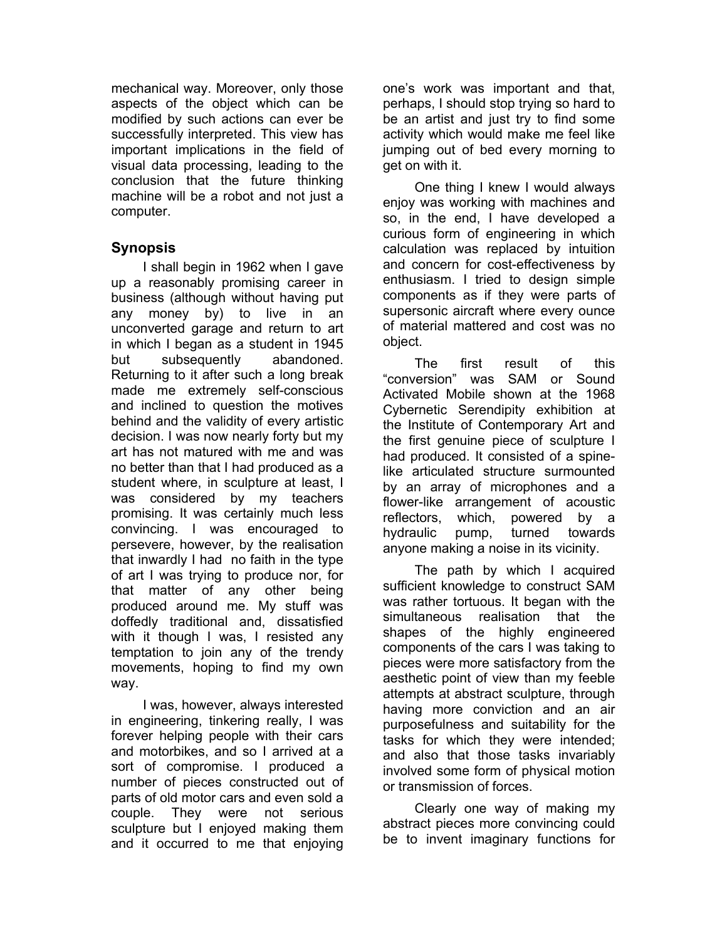mechanical way. Moreover, only those aspects of the object which can be modified by such actions can ever be successfully interpreted. This view has important implications in the field of visual data processing, leading to the conclusion that the future thinking machine will be a robot and not just a computer.

## **Synopsis**

I shall begin in 1962 when I gave up a reasonably promising career in business (although without having put any money by) to live in an unconverted garage and return to art in which I began as a student in 1945 but subsequently abandoned. Returning to it after such a long break made me extremely self-conscious and inclined to question the motives behind and the validity of every artistic decision. I was now nearly forty but my art has not matured with me and was no better than that I had produced as a student where, in sculpture at least, I was considered by my teachers promising. It was certainly much less convincing. I was encouraged to persevere, however, by the realisation that inwardly I had no faith in the type of art I was trying to produce nor, for that matter of any other being produced around me. My stuff was doffedly traditional and, dissatisfied with it though I was, I resisted any temptation to join any of the trendy movements, hoping to find my own way.

I was, however, always interested in engineering, tinkering really, I was forever helping people with their cars and motorbikes, and so I arrived at a sort of compromise. I produced a number of pieces constructed out of parts of old motor cars and even sold a couple. They were not serious sculpture but I enjoyed making them and it occurred to me that enjoying

one's work was important and that, perhaps, I should stop trying so hard to be an artist and just try to find some activity which would make me feel like jumping out of bed every morning to get on with it.

One thing I knew I would always enjoy was working with machines and so, in the end, I have developed a curious form of engineering in which calculation was replaced by intuition and concern for cost-effectiveness by enthusiasm. I tried to design simple components as if they were parts of supersonic aircraft where every ounce of material mattered and cost was no object.

The first result of this "conversion" was SAM or Sound Activated Mobile shown at the 1968 Cybernetic Serendipity exhibition at the Institute of Contemporary Art and the first genuine piece of sculpture I had produced. It consisted of a spinelike articulated structure surmounted by an array of microphones and a flower-like arrangement of acoustic reflectors, which, powered by a hydraulic pump, turned towards anyone making a noise in its vicinity.

The path by which I acquired sufficient knowledge to construct SAM was rather tortuous. It began with the simultaneous realisation that the shapes of the highly engineered components of the cars I was taking to pieces were more satisfactory from the aesthetic point of view than my feeble attempts at abstract sculpture, through having more conviction and an air purposefulness and suitability for the tasks for which they were intended; and also that those tasks invariably involved some form of physical motion or transmission of forces.

Clearly one way of making my abstract pieces more convincing could be to invent imaginary functions for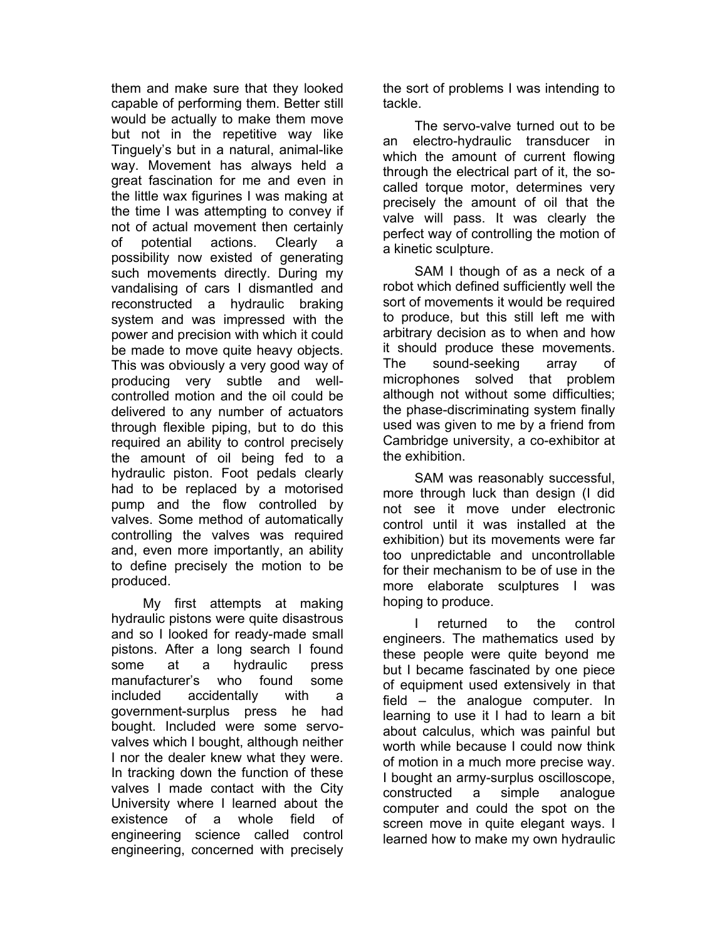them and make sure that they looked capable of performing them. Better still would be actually to make them move but not in the repetitive way like Tinguely's but in a natural, animal-like way. Movement has always held a great fascination for me and even in the little wax figurines I was making at the time I was attempting to convey if not of actual movement then certainly of potential actions. Clearly a possibility now existed of generating such movements directly. During my vandalising of cars I dismantled and reconstructed a hydraulic braking system and was impressed with the power and precision with which it could be made to move quite heavy objects. This was obviously a very good way of producing very subtle and wellcontrolled motion and the oil could be delivered to any number of actuators through flexible piping, but to do this required an ability to control precisely the amount of oil being fed to a hydraulic piston. Foot pedals clearly had to be replaced by a motorised pump and the flow controlled by valves. Some method of automatically controlling the valves was required and, even more importantly, an ability to define precisely the motion to be produced.

My first attempts at making hydraulic pistons were quite disastrous and so I looked for ready-made small pistons. After a long search I found some at a hydraulic press manufacturer's who found some included accidentally with a government-surplus press he had bought. Included were some servovalves which I bought, although neither I nor the dealer knew what they were. In tracking down the function of these valves I made contact with the City University where I learned about the existence of a whole field of engineering science called control engineering, concerned with precisely the sort of problems I was intending to tackle.

The servo-valve turned out to be an electro-hydraulic transducer in which the amount of current flowing through the electrical part of it, the socalled torque motor, determines very precisely the amount of oil that the valve will pass. It was clearly the perfect way of controlling the motion of a kinetic sculpture.

SAM I though of as a neck of a robot which defined sufficiently well the sort of movements it would be required to produce, but this still left me with arbitrary decision as to when and how it should produce these movements. The sound-seeking array of microphones solved that problem although not without some difficulties; the phase-discriminating system finally used was given to me by a friend from Cambridge university, a co-exhibitor at the exhibition.

SAM was reasonably successful, more through luck than design (I did not see it move under electronic control until it was installed at the exhibition) but its movements were far too unpredictable and uncontrollable for their mechanism to be of use in the more elaborate sculptures I was hoping to produce.

returned to the control engineers. The mathematics used by these people were quite beyond me but I became fascinated by one piece of equipment used extensively in that field – the analogue computer. In learning to use it I had to learn a bit about calculus, which was painful but worth while because I could now think of motion in a much more precise way. I bought an army-surplus oscilloscope, constructed a simple analogue computer and could the spot on the screen move in quite elegant ways. I learned how to make my own hydraulic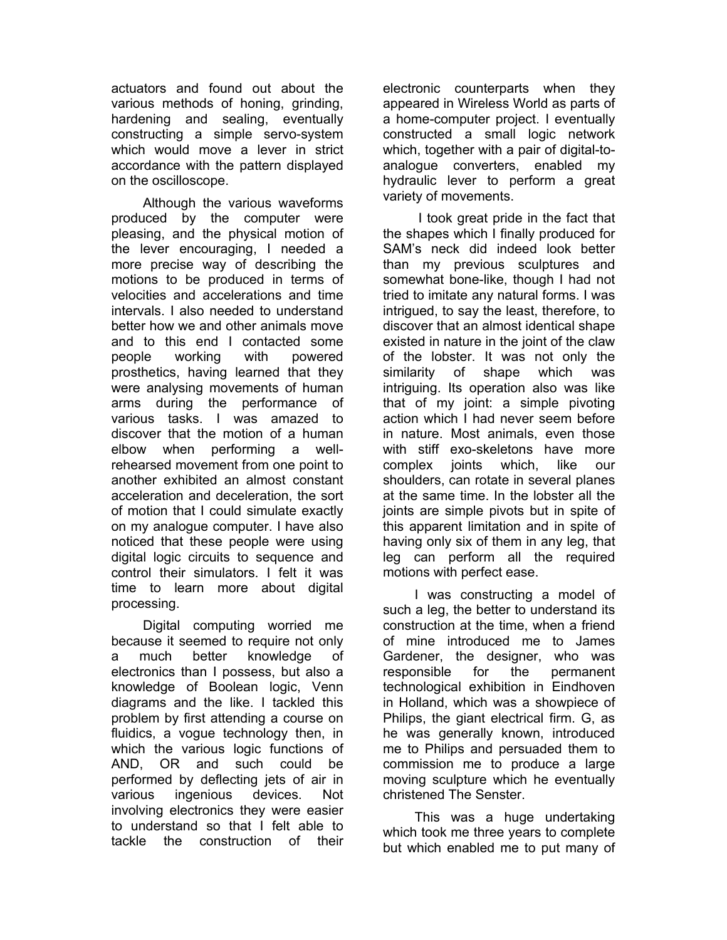actuators and found out about the various methods of honing, grinding, hardening and sealing, eventually constructing a simple servo-system which would move a lever in strict accordance with the pattern displayed on the oscilloscope.

Although the various waveforms produced by the computer were pleasing, and the physical motion of the lever encouraging, I needed a more precise way of describing the motions to be produced in terms of velocities and accelerations and time intervals. I also needed to understand better how we and other animals move and to this end I contacted some people working with powered prosthetics, having learned that they were analysing movements of human arms during the performance of various tasks. I was amazed to discover that the motion of a human elbow when performing a wellrehearsed movement from one point to another exhibited an almost constant acceleration and deceleration, the sort of motion that I could simulate exactly on my analogue computer. I have also noticed that these people were using digital logic circuits to sequence and control their simulators. I felt it was time to learn more about digital processing.

Digital computing worried me because it seemed to require not only a much better knowledge of electronics than I possess, but also a knowledge of Boolean logic, Venn diagrams and the like. I tackled this problem by first attending a course on fluidics, a vogue technology then, in which the various logic functions of AND, OR and such could be performed by deflecting jets of air in various ingenious devices. Not involving electronics they were easier to understand so that I felt able to tackle the construction of their

electronic counterparts when they appeared in Wireless World as parts of a home-computer project. I eventually constructed a small logic network which, together with a pair of digital-toanalogue converters, enabled my hydraulic lever to perform a great variety of movements.

 I took great pride in the fact that the shapes which I finally produced for SAM's neck did indeed look better than my previous sculptures and somewhat bone-like, though I had not tried to imitate any natural forms. I was intrigued, to say the least, therefore, to discover that an almost identical shape existed in nature in the joint of the claw of the lobster. It was not only the similarity of shape which was intriguing. Its operation also was like that of my joint: a simple pivoting action which I had never seem before in nature. Most animals, even those with stiff exo-skeletons have more complex joints which, like our shoulders, can rotate in several planes at the same time. In the lobster all the joints are simple pivots but in spite of this apparent limitation and in spite of having only six of them in any leg, that leg can perform all the required motions with perfect ease.

I was constructing a model of such a leg, the better to understand its construction at the time, when a friend of mine introduced me to James Gardener, the designer, who was responsible for the permanent technological exhibition in Eindhoven in Holland, which was a showpiece of Philips, the giant electrical firm. G, as he was generally known, introduced me to Philips and persuaded them to commission me to produce a large moving sculpture which he eventually christened The Senster.

This was a huge undertaking which took me three years to complete but which enabled me to put many of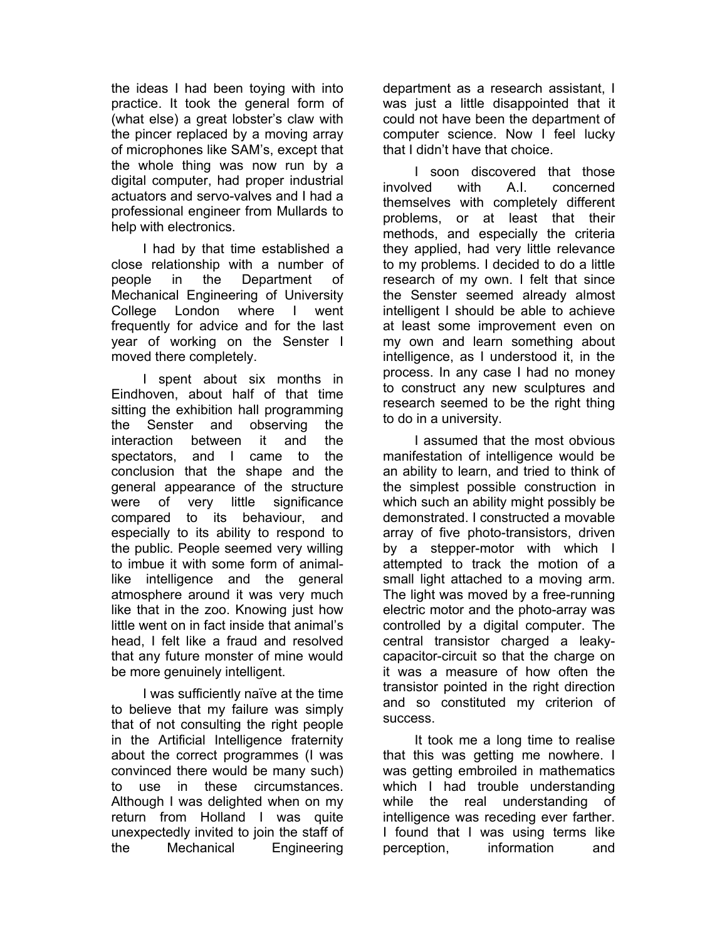the ideas I had been toying with into practice. It took the general form of (what else) a great lobster's claw with the pincer replaced by a moving array of microphones like SAM's, except that the whole thing was now run by a digital computer, had proper industrial actuators and servo-valves and I had a professional engineer from Mullards to help with electronics.

I had by that time established a close relationship with a number of people in the Department of Mechanical Engineering of University College London where I went frequently for advice and for the last year of working on the Senster I moved there completely.

I spent about six months in Eindhoven, about half of that time sitting the exhibition hall programming the Senster and observing the interaction between it and the spectators, and I came to the conclusion that the shape and the general appearance of the structure were of very little significance compared to its behaviour, and especially to its ability to respond to the public. People seemed very willing to imbue it with some form of animallike intelligence and the general atmosphere around it was very much like that in the zoo. Knowing just how little went on in fact inside that animal's head, I felt like a fraud and resolved that any future monster of mine would be more genuinely intelligent.

I was sufficiently naïve at the time to believe that my failure was simply that of not consulting the right people in the Artificial Intelligence fraternity about the correct programmes (I was convinced there would be many such) to use in these circumstances. Although I was delighted when on my return from Holland I was quite unexpectedly invited to join the staff of the Mechanical Engineering

department as a research assistant, I was just a little disappointed that it could not have been the department of computer science. Now I feel lucky that I didn't have that choice.

I soon discovered that those involved with A.I. concerned themselves with completely different problems, or at least that their methods, and especially the criteria they applied, had very little relevance to my problems. I decided to do a little research of my own. I felt that since the Senster seemed already almost intelligent I should be able to achieve at least some improvement even on my own and learn something about intelligence, as I understood it, in the process. In any case I had no money to construct any new sculptures and research seemed to be the right thing to do in a university.

I assumed that the most obvious manifestation of intelligence would be an ability to learn, and tried to think of the simplest possible construction in which such an ability might possibly be demonstrated. I constructed a movable array of five photo-transistors, driven by a stepper-motor with which I attempted to track the motion of a small light attached to a moving arm. The light was moved by a free-running electric motor and the photo-array was controlled by a digital computer. The central transistor charged a leakycapacitor-circuit so that the charge on it was a measure of how often the transistor pointed in the right direction and so constituted my criterion of success.

It took me a long time to realise that this was getting me nowhere. I was getting embroiled in mathematics which I had trouble understanding while the real understanding of intelligence was receding ever farther. I found that I was using terms like perception, information and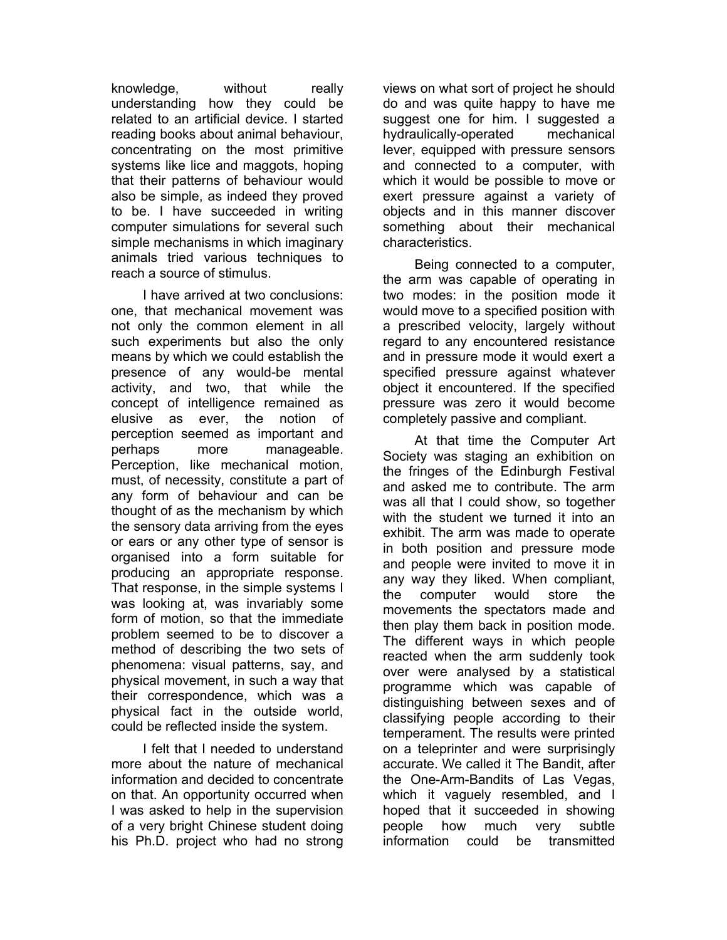knowledge, without really understanding how they could be related to an artificial device. I started reading books about animal behaviour, concentrating on the most primitive systems like lice and maggots, hoping that their patterns of behaviour would also be simple, as indeed they proved to be. I have succeeded in writing computer simulations for several such simple mechanisms in which imaginary animals tried various techniques to reach a source of stimulus.

I have arrived at two conclusions: one, that mechanical movement was not only the common element in all such experiments but also the only means by which we could establish the presence of any would-be mental activity, and two, that while the concept of intelligence remained as elusive as ever, the notion of perception seemed as important and perhaps more manageable. Perception, like mechanical motion, must, of necessity, constitute a part of any form of behaviour and can be thought of as the mechanism by which the sensory data arriving from the eyes or ears or any other type of sensor is organised into a form suitable for producing an appropriate response. That response, in the simple systems I was looking at, was invariably some form of motion, so that the immediate problem seemed to be to discover a method of describing the two sets of phenomena: visual patterns, say, and physical movement, in such a way that their correspondence, which was a physical fact in the outside world, could be reflected inside the system.

I felt that I needed to understand more about the nature of mechanical information and decided to concentrate on that. An opportunity occurred when I was asked to help in the supervision of a very bright Chinese student doing his Ph.D. project who had no strong views on what sort of project he should do and was quite happy to have me suggest one for him. I suggested a hydraulically-operated mechanical lever, equipped with pressure sensors and connected to a computer, with which it would be possible to move or exert pressure against a variety of objects and in this manner discover something about their mechanical characteristics.

Being connected to a computer, the arm was capable of operating in two modes: in the position mode it would move to a specified position with a prescribed velocity, largely without regard to any encountered resistance and in pressure mode it would exert a specified pressure against whatever object it encountered. If the specified pressure was zero it would become completely passive and compliant.

At that time the Computer Art Society was staging an exhibition on the fringes of the Edinburgh Festival and asked me to contribute. The arm was all that I could show, so together with the student we turned it into an exhibit. The arm was made to operate in both position and pressure mode and people were invited to move it in any way they liked. When compliant, the computer would store the movements the spectators made and then play them back in position mode. The different ways in which people reacted when the arm suddenly took over were analysed by a statistical programme which was capable of distinguishing between sexes and of classifying people according to their temperament. The results were printed on a teleprinter and were surprisingly accurate. We called it The Bandit, after the One-Arm-Bandits of Las Vegas, which it vaguely resembled, and I hoped that it succeeded in showing people how much very subtle information could be transmitted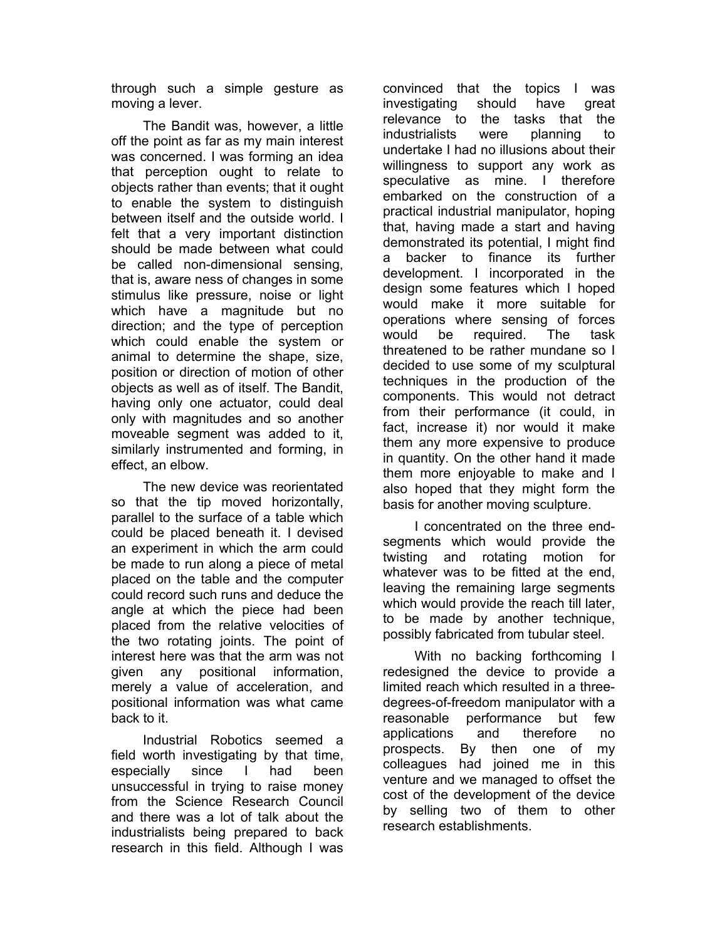through such a simple gesture as moving a lever.

The Bandit was, however, a little off the point as far as my main interest was concerned. I was forming an idea that perception ought to relate to objects rather than events; that it ought to enable the system to distinguish between itself and the outside world. I felt that a very important distinction should be made between what could be called non-dimensional sensing, that is, aware ness of changes in some stimulus like pressure, noise or light which have a magnitude but no direction; and the type of perception which could enable the system or animal to determine the shape, size, position or direction of motion of other objects as well as of itself. The Bandit, having only one actuator, could deal only with magnitudes and so another moveable segment was added to it, similarly instrumented and forming, in effect, an elbow.

The new device was reorientated so that the tip moved horizontally, parallel to the surface of a table which could be placed beneath it. I devised an experiment in which the arm could be made to run along a piece of metal placed on the table and the computer could record such runs and deduce the angle at which the piece had been placed from the relative velocities of the two rotating joints. The point of interest here was that the arm was not given any positional information, merely a value of acceleration, and positional information was what came back to it.

Industrial Robotics seemed a field worth investigating by that time, especially since I had been unsuccessful in trying to raise money from the Science Research Council and there was a lot of talk about the industrialists being prepared to back research in this field. Although I was convinced that the topics I was investigating should have great relevance to the tasks that the industrialists were planning to undertake I had no illusions about their willingness to support any work as speculative as mine. I therefore embarked on the construction of a practical industrial manipulator, hoping that, having made a start and having demonstrated its potential, I might find a backer to finance its further development. I incorporated in the design some features which I hoped would make it more suitable for operations where sensing of forces would be required. The task threatened to be rather mundane so I decided to use some of my sculptural techniques in the production of the components. This would not detract from their performance (it could, in fact, increase it) nor would it make them any more expensive to produce in quantity. On the other hand it made them more enjoyable to make and I also hoped that they might form the basis for another moving sculpture.

I concentrated on the three endsegments which would provide the twisting and rotating motion for whatever was to be fitted at the end, leaving the remaining large segments which would provide the reach till later, to be made by another technique, possibly fabricated from tubular steel.

With no backing forthcoming I redesigned the device to provide a limited reach which resulted in a threedegrees-of-freedom manipulator with a reasonable performance but few applications and therefore no prospects. By then one of my colleagues had joined me in this venture and we managed to offset the cost of the development of the device by selling two of them to other research establishments.